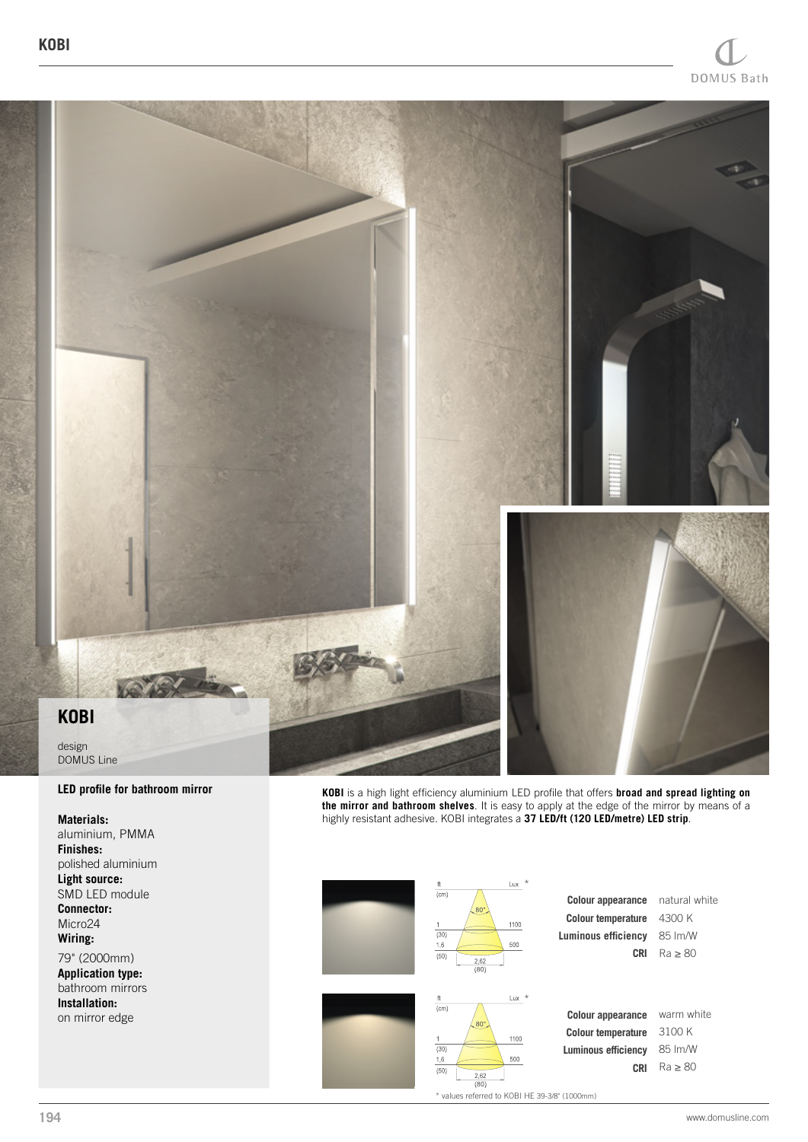

## **LED profile for bathroom mirror**

## **Materials:**

aluminium, PMMA **Finishes:** polished aluminium **Light source:** SMD LED module **Connector:** Micro24 **Wiring:**

79" (2000mm) **Application type:** bathroom mirrors **Installation:** on mirror edge

**KOBI** is a high light efficiency aluminium LED profile that offers **broad and spread lighting on the mirror and bathroom shelves**. It is easy to apply at the edge of the mirror by means of a highly resistant adhesive. KOBI integrates a **37 LED/ft (120 LED/metre) LED strip**.



| <b>Colour appearance</b> natural white |                 |
|----------------------------------------|-----------------|
| <b>Colour temperature</b> 4300 K       |                 |
| uminous efficiency 85 lm/W             |                 |
|                                        | $CRI$ Ra $> 80$ |
|                                        |                 |



**Colour appearance Colour temperature Luminous efficiency CRI** Ra ≥ 80 warm white 3100 K 85 lm/W

\* values referred to KOBI HE 39-3/8" (1000mm)

 $1100$ 

 $500$